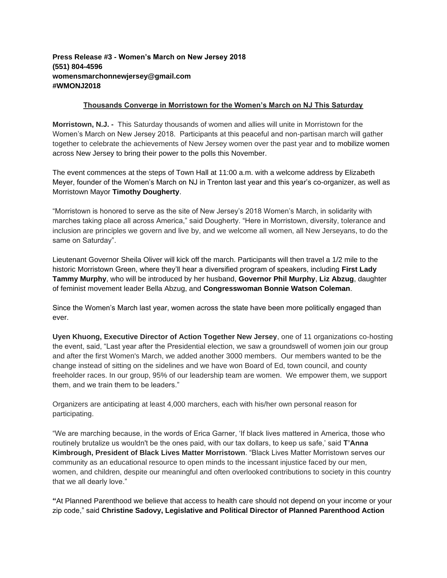## **Press Release #3 - Women's March on New Jersey 2018 (551) 804-4596 womensmarchonnewjersey@gmail.com #WMONJ2018**

## **Thousands Converge in Morristown for the Women's March on NJ This Saturday**

**Morristown, N.J. -** This Saturday thousands of women and allies will unite in Morristown for the Women's March on New Jersey 2018. Participants at this peaceful and non-partisan march will gather together to celebrate the achievements of New Jersey women over the past year and to mobilize women across New Jersey to bring their power to the polls this November.

The event commences at the steps of Town Hall at 11:00 a.m. with a welcome address by Elizabeth Meyer, founder of the Women's March on NJ in Trenton last year and this year's co-organizer, as well as Morristown Mayor **Timothy Dougherty**.

"Morristown is honored to serve as the site of New Jersey's 2018 Women's March, in solidarity with marches taking place all across America," said Dougherty. "Here in Morristown, diversity, tolerance and inclusion are principles we govern and live by, and we welcome all women, all New Jerseyans, to do the same on Saturday".

Lieutenant Governor Sheila Oliver will kick off the march. Participants will then travel a 1/2 mile to the historic Morristown Green, where they'll hear a diversified program of speakers, including **First Lady Tammy Murphy**, who will be introduced by her husband, **Governor Phil Murphy**, **Liz Abzug**, daughter of feminist movement leader Bella Abzug, and **Congresswoman Bonnie Watson Coleman**.

Since the Women's March last year, women across the state have been more politically engaged than ever.

**Uyen Khuong, Executive Director of Action Together New Jersey**, one of 11 organizations co-hosting the event, said, "Last year after the Presidential election, we saw a groundswell of women join our group and after the first Women's March, we added another 3000 members. Our members wanted to be the change instead of sitting on the sidelines and we have won Board of Ed, town council, and county freeholder races. In our group, 95% of our leadership team are women. We empower them, we support them, and we train them to be leaders."

Organizers are anticipating at least 4,000 marchers, each with his/her own personal reason for participating.

"We are marching because, in the words of Erica Garner, 'If black lives mattered in America, those who routinely brutalize us wouldn't be the ones paid, with our tax dollars, to keep us safe,' said **T'Anna Kimbrough, President of Black Lives Matter Morristown**. "Black Lives Matter Morristown serves our community as an educational resource to open minds to the incessant injustice faced by our men, women, and children, despite our meaningful and often overlooked contributions to society in this country that we all dearly love."

**"**At Planned Parenthood we believe that access to health care should not depend on your income or your zip code," said **Christine Sadovy, Legislative and Political Director of Planned Parenthood Action**